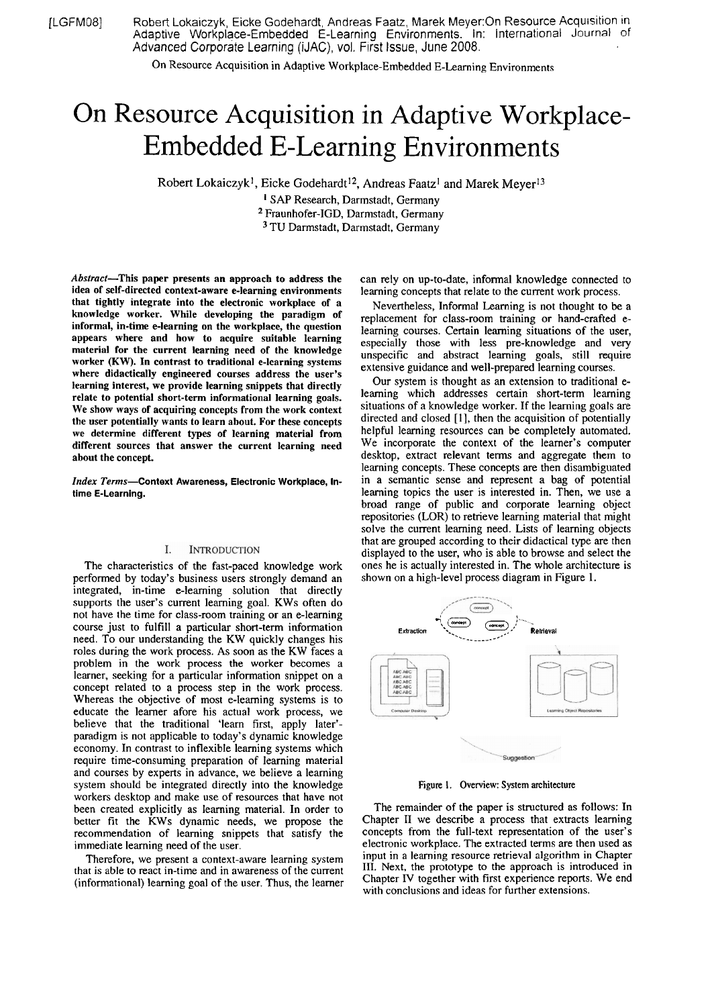[LGFM08] Robert Lokaiczyk, Eicke Godehardt, Andreas Faatz, Marek Meyer:On Resource Acquisition in Adaptive Workplace-Embedded E-Learning Environments. In: International Journal 0f Advanced Corporate Learning (iJAC), vol. First Issue, June 2008.

On Resource Acquisition in Adaptive Workplace-Embedded E-Learning Environments

# On Resource Acquisition in Adaptive Workplace-Embedded E-Learning Environments

Robert Lokaiczyk<sup>1</sup>, Eicke Godehardt<sup>12</sup>, Andreas Faatz<sup>1</sup> and Marek Meyer<sup>13</sup>

SAP Research, Darmstadt, Germany <sup>2</sup> Fraunhofer-IGD, Darmstadt, Germany <sup>3</sup> TU Darmstadt, Darmstadt, Germany

Abstract-This paper presents an approach to address the idea of self-directed context-aware e-learning environments that tightly integrate into the electronic workplace of a knowledge worker. While developing the paradigm of informal, in-time e-learning on the workplace, the question appears where and how to acquire suitable learning material for the current learning need of the knowledge worker (KW). In contrast to traditional e-learning systems where didactically engineered courses address the user's learning interest, we provide learning snippets that directly relate to potential short-term informational learning goals. We show ways of acquiring concepts from the work context the user potentially wants to learn about. For these concepts we determine different types of learning material from different sources that answer the current learning need about the concept.

Index Terms-Context Awareness, Electronic Workplace, In**time** E-Learning.

#### Ι. **INTRODUCTION**

The characteristics of the fast-paced knowledge work performed by today's business users strongly demand an integrated, in-time e-leaming solution that directly supports the user's current learning goal. KWs often do not have the time for class-room training or an e-learning Course just to fulfill a particular short-term information need. To our understanding the KW quickly changes his roles during the work process. As soon as the KW faces a problem in the work process the worker becomes a learner, seeking for a particular information snippet on a concept related to a process step in the work process. Whereas the objective of most e-leaming systems is to educate the leamer afore his actual work process, we believe that the traditional 'leam first, apply later' paradigm is not applicable to today's dynamic knowledge economy. In contrast to inflexible learning systems which require time-consuming preparation of learning material and courses by experts in advance, we believe a learning system should be integrated directly into the knowledge workers desktop and make use of resources that have not been created explicitly as learning material. In order to better fit the KWs dynamic needs, we propose the recommendation of learning snippets that satisfy the immediate learning need of the user.

Therefore, we present a context-aware learning system that is able to react in-time and in awareness of the current (informational) learning goal of the user. Thus, the learner

can rely on up-to-date, informal knowledge connected to learning concepts that relate to the current work process.

Nevertheless, Informal Learning is not thought to be a replacement for class-room training or hand-crafted elearning courses. Certain learning situations of the user, especially those with less pre-knowledge and very unspecific and abstract leming goals, still require extensive guidance and well-prepared leaming courses.

Our system is thought as an extension to traditional eleaming which addresses certain short-term leaming situations of a knowledge worker. If the learning goals are directed and closed [I], then the acquisition of potentially helpful learning resources can be completely automated. We incorporate the context of the learner's computer desktop, extract relevant terms and aggregate them to learning concepts. These concepts are then disambiguated in a semantic sense and represent a bag of potential learning topics the user is interested in. Then, we use a broad range of public and corporate learning object repositories (LOR) to retrieve learning material that might solve the current leaming need. Lists of learning objects that are grouped according to their didactical type are then displayed to the user, who is able to browse and select the ones he is actually interested in. The whole architecture is shown on a high-level process diagram in Figure 1.



Figure 1. Overview: System architecture

The remainder of the paper is structured as follows: In Chapter **I1** we describe a process that extracts learning concepts from the full-text representation of the user's electronic workplace. The extracted terms are then used as input in a learning resource retrieval algorithm in Chapter **111.** Next, the Prototype to the approach is introduced in Chapter IV together with first experience reports. We end with conclusions and ideas for further extensions.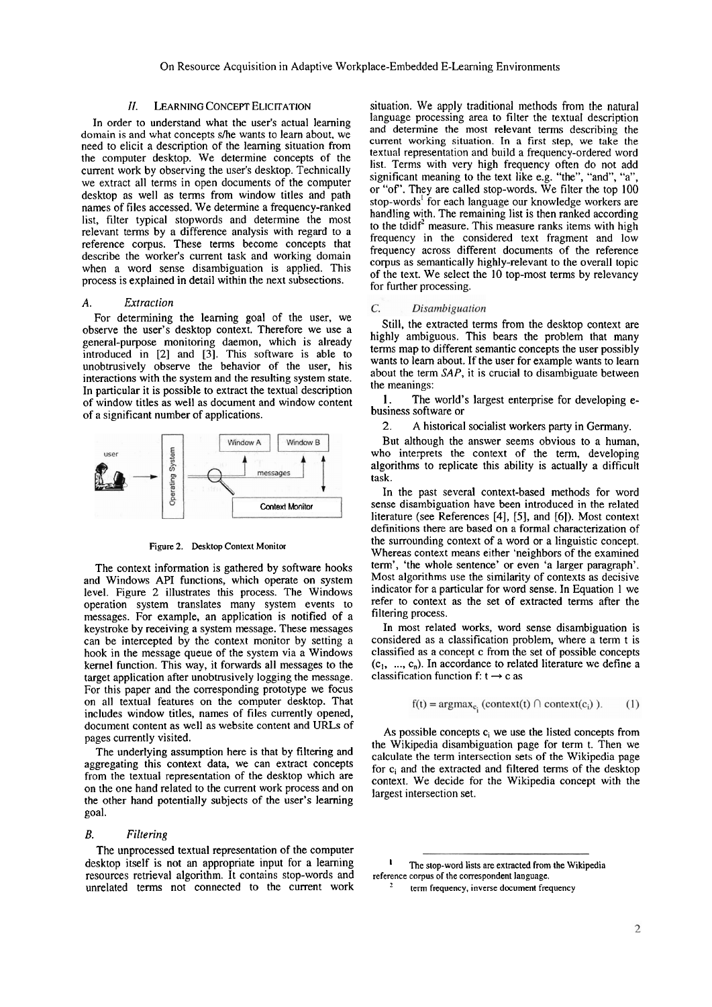In order to understand what the user's actual leaming domain is and what concepts s/he wants to learn about, we need to elicit a description of the leaming situation from the computer desktop. We determine concepts of the current work by observing the user's desktop. Technically we extract all terms in Open documents of the computer desktop as well as terms from window titles and path names of files accessed. We determine a frequency-ranked list, filter typical stopwords and determine the most relevant terms by a difference analysis with regard to a reference corpus. These terms become concepts that describe the worker's current task and working domain when a word sense disambiguation is applied. This process is explained in detail within the next subsections.

# *A. Extraction*

For determining the leaming goal of the user, we observe the user's desktop context. Therefore we use a general-purpose monitoring daemon, which is already introduced in [2] and **[3].** This software is able to unobtrusively observe the behavior of the user, his interactions with the system and the resulting system state. In particular it is possible to extract the textual description of window titles as well as document and window content of a significant number of applications.



**Figure 2. Desktop Context Monitor** 

The context information is gathered by software hooks and Windows API functions, which operate on system level. Figure 2 illustrates this process. The Windows operation system translates many system events to messages. For example, an application is notified of a keystroke by receiving a system message. These messages can be intercepted by the context monitor by setting a hook in the message queue of the system via a Windows kerne1 function. This way, it forwards all messages to the target application after unobtrusively logging the message. For this paper and the corresponding prototype we focus on all textual features on the computer desktop. That includes window titles, names of files currently opened, document content as well as website content and URLs of pages currently visited.

The underlying assumption here is that by filtering and aggregating this context data, we can extract concepts from the textual representation of the desktop which are on the one hand related to the current work process and on the other hand potentially subjects of the user's learning goal.

## *B. Filtering*

The unprocessed textual representation of the computer desktop itself is not an appropriate input for a learning **the stap-word lists are extracted from the Wikipedia** resources retrieval algorithm. It contains stop-words and **reference corpus of the correspondent language.**  unrelated terms not connected to the current work  $\frac{1}{2}$  term frequency, inverse document frequency

**11. LEARNING CONCEPT ELICITATION** situation. We apply traditional methods from the natural language processing area to filter the textual description and determine the most relevant terms describing the current working situation. In a first step, we take the textual representation and build a frequency-ordered word list. Terms with very high frequency often do not add significant meaning to the text like e.g. "the", "and", "a", or "of'. They are called stop-words. We filter the top 100 stop-words' for each language our knowledge workers are handling with. The remaining list is then ranked according to the tdidf<sup>2</sup> measure. This measure ranks items with high frequency in the considered text fragment and low Frequency across different documents of the reference corpus as semantically highly-relevant to the overall topic of the text. We select the 10 top-most terms by relevancy for further processing.

#### $\mathcal{C}$ . Disambiguation

Still, the extracted terms from the desktop context are highly ambiguous. This bears the problem that many terms map to different semantic concepts the user possibly wants to leam about. If the user for example wants to learn about the term *SAP*, it is crucial to disambiguate between the meanings:

I. The world's largest enterprise for developing ebusiness software or

2. A historical socialist workers party in Germany.

But although the answer seems obvious to a human, who interprets the context of the term, developing algorithms to replicate this ability is actually a difficult task.

In the past several context-based methods for word sense disambiguation have been introduced in the related literature (See References **[4], [5],** and **[6]).** Most context definitions there are based on a formal characterization of the surrounding context of a word or a linguistic concept. Whereas context means either 'neighbors of the examined term', 'the whole sentence' or even 'a larger paragraph'. Most algorithms use the similarity of contexts as decisive indicator for a particular for word sense. In Equation 1 we refer to context as the set of extracted terms after the filtering process.

In most related works, word sense disambiguation is considered as a classification problem, where a term t is classified as a concept C from the Set of possible concepts  $(c_1, ..., c_n)$ . In accordance to related literature we define a classification function  $f: t \rightarrow c$  as

$$
f(t) = \operatorname{argmax}_{c_i} (\text{context}(t) \cap \text{context}(c_i)). \tag{1}
$$

As possible concepts  $c_i$  we use the listed concepts from the Wikipedia disambiguation Page for term t. Then we calculate the term intersection sets of the Wikipedia page for ci and the extracted and filtered terms of the desktop context. We decide for the Wikipedia concept with the largest intersection set.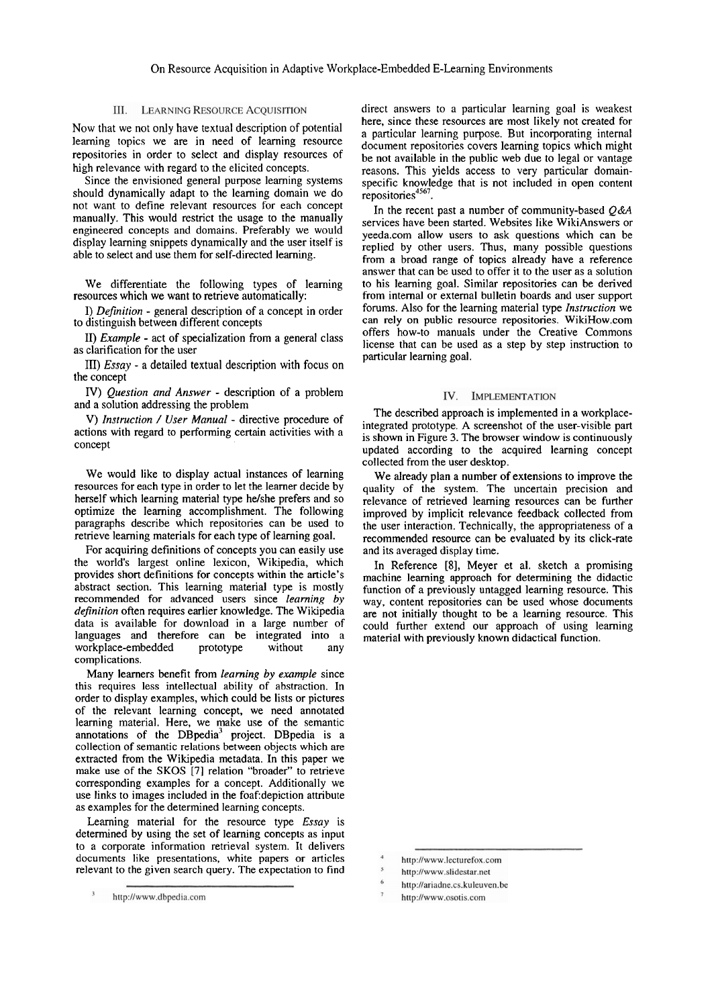# III. LEARNING RESOURCE ACQUISITION

Now that we not only have textual description of potential learning topics we are in need of learning resource repositories in order to select and display resources of high relevance with regard to the elicited concepts.

Since the envisioned general purpose learning systems should dynamically adapt to the leaming domain we do not want to define relevant resources for each concept manually. This would restrict the usage to the manually engineered concepts and domains. Preferably we would display learning snippets dynamically and the user itself is able to select and use them for self-directed leaming.

We differentiate the following types of learning resources which we Want to retrieve automatically:

*I) Definition* - general description of a concept in order to distinguish between different concepts

11) *Example* - act of specialization from a general class as clarification for the user

III) *Essay* - a detailed textual description with focus on the concept

*N) Quesrion* **und** *Answer* - description of a pmblem and a solution addressing the problem

*V) Insfruction* / *User Manual* - directive procedure of actions with regard to performing certain activities with a concept

We would like to display actual instances of learning resources for each type in order to let the learner decide by herself which leaming material type helshe prefers and so optimize the leaming accomplishment. The following paragraphs describe which repositories can be used to retrieve leaming materials for each type of leaming goal.

For acquiring definitions of concepts you can easily use the world's largest online lexicon, Wikipedia, which provides short definitions for concepts within the article's abstract section. This learning material type is mostly recommended for advanced users since *learning by definition* often requires earlier knowledge. The Wikipedia data is available for download in a large number of languages and therefore can be integrated into a workplace-embedded prototype without any complications.

Many learners benefit from *learning by example* since this requires less intellectual ability of abstraction. In order to display examples, which could be lists or pictures of the relevant learning concept, we need annotated leaming material. Here, we make use of the semantic annotations of the DBpedia<sup>3</sup> project. DBpedia is a collection of semantic relations between objects which are extracted from the Wikipedia metadata. In this paper we make use of the SKOS [7] relation "broader" to retrieve corresponding examples for a concept. Additionally we use links to images included in the foaf: depiction attribute as examples for the determined learning concepts.

Learning material for the resource type *Essay* is determined by using the set of learning concepts as input to a corporate information retrieval system. It delivers documents like presentations, white papers or articles relevant to the given search query. The expectation to find direct answers to a particular learning goal is weakest here, since these resources are most likely not created for a particular learning purpose. But incorporating internal document repositories covers learning topics which might be not available in the public web due to legal or vantage reasons. This yields access to very particular domainspecific knowledge that is not included in open content repositories<sup>4567</sup>.

In the recent past a number of community-based  $Q\&A$ services have been started. Websites like WikiAnswers or yeeda.com allow users to ask questions which can be replied by other users. Thus, many possible questions from a broad range of topics already have a reference answer that can be used to offer it to the user as a solution to his learning goal. Similar repositories can be derived from internal or external bulletin boards and user support forums. Also for the learning material type *Instruction* we can rely on public resource repositories. WikiHow.com offers how-to manuals under the Creative Commons license that can be used as a step by step instruction to particular learning goal.

### IV. IMPLEMENTATION

The described approach is implemented in a workplaceintegrated prototype. A screenshot of the user-visible part is shown in Figure **3.** The browser window is continuously updated according to the acquired learning concept collected from the user desktop.

We already plan a number of extensions to improve the quality of the system. The uncertain precision and relevance of retrieved learning resources can be further improved by implicit relevance feedback collected from the user interaction. Technically, the appropriateness of a recommended resource can be evaluated by its click-rate and its averaged display time.

In Reference **[SI,** Meyer et al. sketch a promising machine learning approach for determining the didactic function of a previously untagged learning resource. This way, content repositories can be used whose documents are not initially thought to be a leaming resource. This could further extend our approach of using leaming material with previously known didactical function.

- http://ariadne.cs.kuleuven.be
- http://www.osotis.com

 $\sqrt{3}$ http://www.dbpedia.com

http://www.lecturefox.com

http://www.slidestar.net